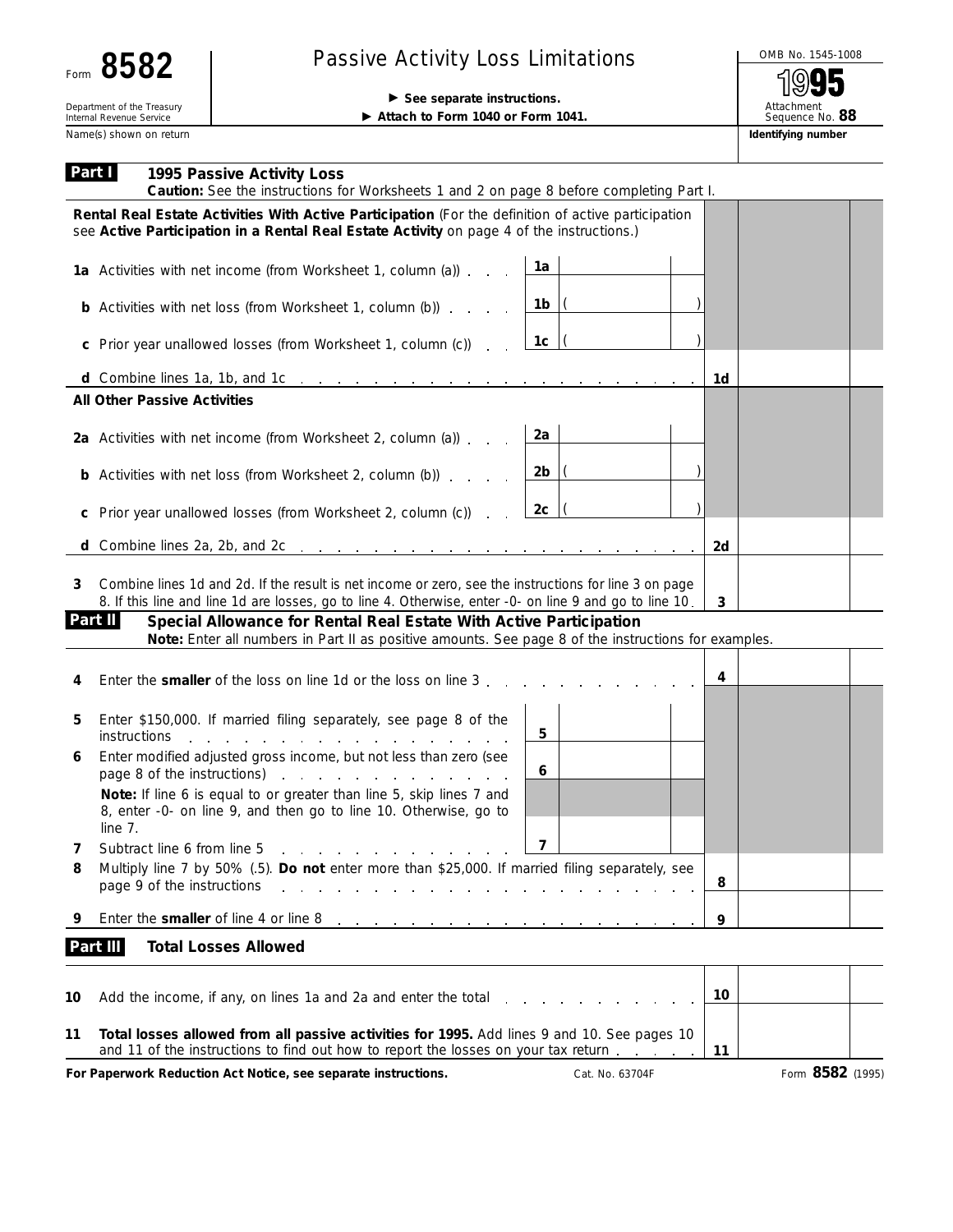| cΩ<br>Ω<br>O<br>Ю<br>Form |  |
|---------------------------|--|
|---------------------------|--|

## Passive Activity Loss Limitations<br>
Secondary intrudions<br>
Passive Activity Loss Limitations<br>
Passive Activity Loss Limitations<br>
Passive Activity Loss Limitations

(o 5 Attachment Sequence No. **88**

Name(s) shown on return **Identifying number Identifying number Identifying number** 

**Department of the Treasury and The Treasury and The Treasury and The Treasury and The Treasury and The Treasury and The Treasury and The Treasury and Treasury and Treasury and Treasury and Treasury and Treasury and Treas** ▶ Attach to Form 1040 or Form 1041.

| Part I   | 1995 Passive Activity Loss<br>Caution: See the instructions for Worksheets 1 and 2 on page 8 before completing Part I.                                                                                                         |                         |                 |              |                  |
|----------|--------------------------------------------------------------------------------------------------------------------------------------------------------------------------------------------------------------------------------|-------------------------|-----------------|--------------|------------------|
|          | Rental Real Estate Activities With Active Participation (For the definition of active participation<br>see Active Participation in a Rental Real Estate Activity on page 4 of the instructions.)                               |                         |                 |              |                  |
|          | 1a Activities with net income (from Worksheet 1, column (a))                                                                                                                                                                   | 1a                      |                 |              |                  |
|          | <b>b</b> Activities with net loss (from Worksheet 1, column (b))                                                                                                                                                               | 1b                      |                 |              |                  |
|          | c Prior year unallowed losses (from Worksheet 1, column (c))<br><b>Contract</b>                                                                                                                                                | 1c                      |                 |              |                  |
|          |                                                                                                                                                                                                                                |                         |                 | 1d           |                  |
|          | <b>All Other Passive Activities</b>                                                                                                                                                                                            |                         |                 |              |                  |
|          | 2a Activities with net income (from Worksheet 2, column (a))                                                                                                                                                                   | 2a                      |                 |              |                  |
|          | <b>b</b> Activities with net loss (from Worksheet 2, column (b))                                                                                                                                                               | 2 <sub>b</sub>          |                 |              |                  |
| C        | Prior year unallowed losses (from Worksheet 2, column (c))                                                                                                                                                                     | 2c                      |                 |              |                  |
| d        | Combine lines 2a, 2b, and 2c entering the state of the state of the state of the state of the state of the state of the state of the state of the state of the state of the state of the state of the state of the state of th |                         |                 | 2d           |                  |
| 3        | Combine lines 1d and 2d. If the result is net income or zero, see the instructions for line 3 on page<br>8. If this line and line 1d are losses, go to line 4. Otherwise, enter -0- on line 9 and go to line 10.               |                         |                 | $\mathbf{3}$ |                  |
| Part II  | Special Allowance for Rental Real Estate With Active Participation<br>Note: Enter all numbers in Part II as positive amounts. See page 8 of the instructions for examples.                                                     |                         |                 |              |                  |
|          | Enter the <b>smaller</b> of the loss on line 1d or the loss on line 3.                                                                                                                                                         |                         |                 | 4            |                  |
| 5        | Enter \$150,000. If married filing separately, see page 8 of the<br><i>instructions</i><br>the contract of the contract of the contract of the contract of the contract of the contract of the contract of                     | 5                       |                 |              |                  |
| 6        | Enter modified adjusted gross income, but not less than zero (see<br>page 8 of the instructions) example a set of the instructions                                                                                             | 6                       |                 |              |                  |
|          | Note: If line 6 is equal to or greater than line 5, skip lines 7 and<br>8, enter -0- on line 9, and then go to line 10. Otherwise, go to<br>line 7.                                                                            |                         |                 |              |                  |
| $\prime$ | Subtract line 6 from line 5<br>and a series of the contract of the contract of                                                                                                                                                 | $\overline{\mathbf{z}}$ |                 |              |                  |
| 8        | Multiply line 7 by 50% (.5). Do not enter more than \$25,000. If married filing separately, see<br>page 9 of the instructions<br>and the state of the state of the                                                             |                         |                 | 8            |                  |
| 9        | Enter the smaller of line 4 or line 8<br>and a series of the contract of the contract of the contract of                                                                                                                       |                         |                 | 9            |                  |
|          | Part III<br><b>Total Losses Allowed</b>                                                                                                                                                                                        |                         |                 |              |                  |
| 10       | Add the income, if any, on lines 1a and 2a and enter the total                                                                                                                                                                 |                         |                 | 10           |                  |
| 11       | Total losses allowed from all passive activities for 1995. Add lines 9 and 10. See pages 10<br>and 11 of the instructions to find out how to report the losses on your tax return                                              |                         |                 | 11           |                  |
|          | For Paperwork Reduction Act Notice, see separate instructions.                                                                                                                                                                 |                         | Cat. No. 63704F |              | Form 8582 (1995) |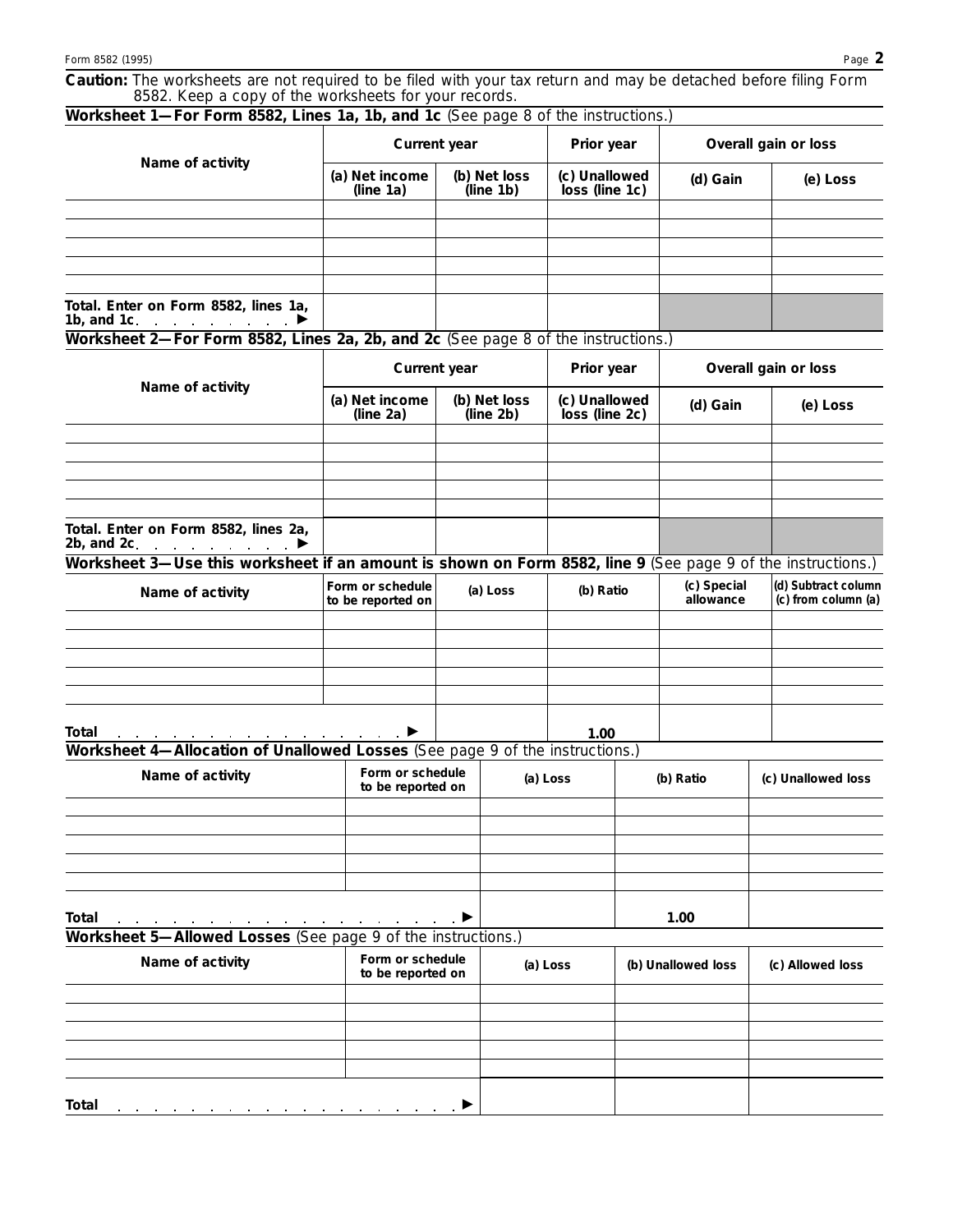**Caution:** *The worksheets are not required to be filed with your tax return and may be detached before filing Form 8582. Keep a copy of the worksheets for your records.*

| Worksheet 1-For Form 8582, Lines 1a, 1b, and 1c (See page 8 of the instructions.)                           |                                       |                           |            |                                               |                      |                          |  |                                            |  |
|-------------------------------------------------------------------------------------------------------------|---------------------------------------|---------------------------|------------|-----------------------------------------------|----------------------|--------------------------|--|--------------------------------------------|--|
|                                                                                                             | <b>Current year</b>                   |                           | Prior year |                                               | Overall gain or loss |                          |  |                                            |  |
| Name of activity                                                                                            | (a) Net income<br>(line 1a)           | (b) Net loss<br>(line 1b) |            | (c) Unallowed<br>loss (line 1c)               |                      | (d) Gain                 |  | (e) Loss                                   |  |
|                                                                                                             |                                       |                           |            |                                               |                      |                          |  |                                            |  |
|                                                                                                             |                                       |                           |            |                                               |                      |                          |  |                                            |  |
|                                                                                                             |                                       |                           |            |                                               |                      |                          |  |                                            |  |
|                                                                                                             |                                       |                           |            |                                               |                      |                          |  |                                            |  |
|                                                                                                             |                                       |                           |            |                                               |                      |                          |  |                                            |  |
| Total. Enter on Form 8582, lines 1a,<br>1b, and 1c.                                                         |                                       |                           |            |                                               |                      |                          |  |                                            |  |
| Worksheet 2-For Form 8582, Lines 2a, 2b, and 2c (See page 8 of the instructions.)                           |                                       |                           |            |                                               |                      |                          |  |                                            |  |
|                                                                                                             |                                       | <b>Current year</b>       |            | Prior year<br>(c) Unallowed<br>loss (line 2c) |                      | Overall gain or loss     |  |                                            |  |
| Name of activity                                                                                            | (a) Net income<br>(line 2a)           | (b) Net loss<br>(line 2b) |            |                                               |                      | (d) Gain                 |  | (e) Loss                                   |  |
|                                                                                                             |                                       |                           |            |                                               |                      |                          |  |                                            |  |
|                                                                                                             |                                       |                           |            |                                               |                      |                          |  |                                            |  |
|                                                                                                             |                                       |                           |            |                                               |                      |                          |  |                                            |  |
|                                                                                                             |                                       |                           |            |                                               |                      |                          |  |                                            |  |
| Total. Enter on Form 8582, lines 2a,<br>2b, and 2c $\blacktriangleright$                                    |                                       |                           |            |                                               |                      |                          |  |                                            |  |
| Worksheet 3—Use this worksheet if an amount is shown on Form 8582, line 9 (See page 9 of the instructions.) |                                       |                           |            |                                               |                      |                          |  |                                            |  |
| Name of activity                                                                                            | Form or schedule<br>to be reported on | (a) Loss                  |            | (b) Ratio                                     |                      | (c) Special<br>allowance |  | (d) Subtract column<br>(c) from column (a) |  |
|                                                                                                             |                                       |                           |            |                                               |                      |                          |  |                                            |  |
|                                                                                                             |                                       |                           |            |                                               |                      |                          |  |                                            |  |
|                                                                                                             |                                       |                           |            |                                               |                      |                          |  |                                            |  |
|                                                                                                             |                                       |                           |            |                                               |                      |                          |  |                                            |  |
|                                                                                                             |                                       |                           |            |                                               |                      |                          |  |                                            |  |
| Total<br>Worksheet 4-Allocation of Unallowed Losses (See page 9 of the instructions.)                       |                                       |                           |            | 1.00                                          |                      |                          |  |                                            |  |
|                                                                                                             |                                       |                           |            |                                               |                      |                          |  |                                            |  |
| Name of activity                                                                                            | Form or schedule<br>to be reported on |                           |            | (a) Loss                                      |                      | (b) Ratio                |  | (c) Unallowed loss                         |  |
|                                                                                                             |                                       |                           |            |                                               |                      |                          |  |                                            |  |
|                                                                                                             |                                       |                           |            |                                               |                      |                          |  |                                            |  |
|                                                                                                             |                                       |                           |            |                                               |                      |                          |  |                                            |  |
|                                                                                                             |                                       |                           |            |                                               |                      |                          |  |                                            |  |
|                                                                                                             |                                       |                           |            |                                               |                      |                          |  |                                            |  |
| <b>Total</b>                                                                                                |                                       |                           |            |                                               |                      | 1.00                     |  |                                            |  |
| Worksheet 5-Allowed Losses (See page 9 of the instructions.)                                                |                                       |                           |            |                                               |                      |                          |  |                                            |  |
|                                                                                                             | Form or schedule                      |                           |            |                                               |                      |                          |  |                                            |  |
| Name of activity                                                                                            | to be reported on                     |                           | (a) Loss   |                                               |                      | (b) Unallowed loss       |  | (c) Allowed loss                           |  |
|                                                                                                             |                                       |                           |            |                                               |                      |                          |  |                                            |  |
|                                                                                                             |                                       |                           |            |                                               |                      |                          |  |                                            |  |
|                                                                                                             |                                       |                           |            |                                               |                      |                          |  |                                            |  |
|                                                                                                             |                                       |                           |            |                                               |                      |                          |  |                                            |  |
|                                                                                                             |                                       |                           |            |                                               |                      |                          |  |                                            |  |
| Total                                                                                                       |                                       |                           |            |                                               |                      |                          |  |                                            |  |
|                                                                                                             |                                       |                           |            |                                               |                      |                          |  |                                            |  |